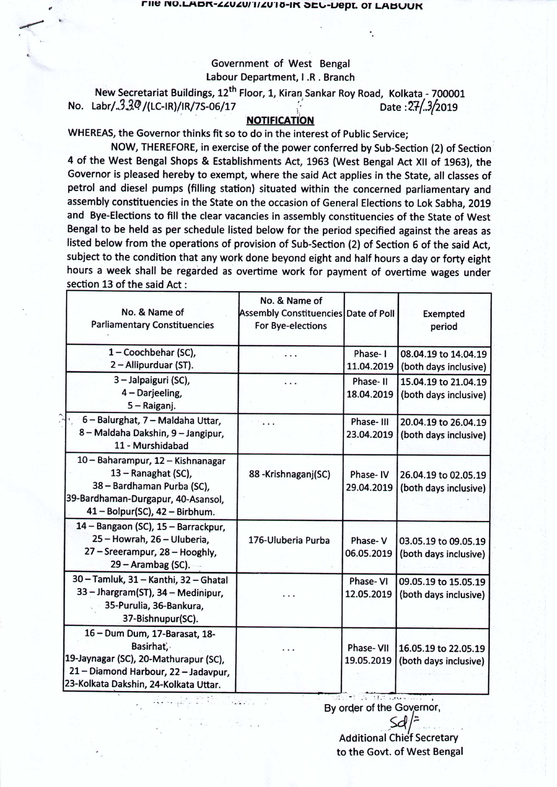Government of West Bengal Labour Department, I .R. Branch

New Secretariat Buildings, 12<sup>th</sup> Floor, 1, Kiran Sankar Roy Road, Kolkata - 700001 No. Labr/. $3.3\%$ /(LC-IR)/IR/7S-06/17  $\qquad \qquad$  Date : $27(.3/2019)$ 

## **,. 'NOTIFICATION**

WHEREAS, the Governor thinks fit so to do in the interest of Public Service;

*If* '. '

> NOW, THEREFORE, in exercise of the power conferred by Sub-Section (2) of Section 4 of the West Bengal Shops & Establishments Act, 1963 (West Bengal Act XII of 1963), the Governor is pleased hereby to exempt, where the said Act applies in the State, all classes of petrol and diesel pumps (filling station) situated within the concerned parliamentary and assembly constituencies in the State on the occasion of General Elections to Lok Sabha, 2019 and Bye-Elections to fill the clear vacancies in assembly constituencies of the State of West Bengal to be held as per schedule listed below for the period specified against the areas as listed below from the operations of provision of Sub-Section(2) of Section 6 of the said Act, subject to the condition that any work done beyond eight and half hours a day or forty eight hours a week shall be regarded as overtime work for payment of overtime wages under section 13 of the said Act:

| No. & Name of<br><b>Parliamentary Constituencies</b>                                                                                                                 | No. & Name of<br>Assembly Constituencies Date of Poll<br>For Bye-elections |                                                    | <b>Exempted</b><br>period                     |
|----------------------------------------------------------------------------------------------------------------------------------------------------------------------|----------------------------------------------------------------------------|----------------------------------------------------|-----------------------------------------------|
| 1-Coochbehar (SC),<br>2 - Allipurduar (ST).                                                                                                                          |                                                                            | Phase-1<br>11.04.2019                              | 08.04.19 to 14.04.19<br>(both days inclusive) |
| 3 - Jalpaiguri (SC),<br>4 - Darjeeling,<br>5 - Raiganj.                                                                                                              | .                                                                          | Phase-II<br>18.04.2019                             | 15.04.19 to 21.04.19<br>(both days inclusive) |
| 6 - Balurghat, 7 - Maldaha Uttar,<br>8 - Maldaha Dakshin, 9 - Jangipur,<br>11 - Murshidabad                                                                          |                                                                            | Phase-III<br>23.04.2019                            | 20.04.19 to 26.04.19<br>(both days inclusive) |
| 10 - Baharampur, 12 - Kishnanagar<br>13 - Ranaghat (SC),<br>38 - Bardhaman Purba (SC),<br>39-Bardhaman-Durgapur, 40-Asansol,<br>41 - Bolpur(SC), 42 - Birbhum.       | 88 - Krishnaganj (SC)                                                      | Phase-IV<br>29.04.2019                             | 26.04.19 to 02.05.19<br>(both days inclusive) |
| 14 - Bangaon (SC), 15 - Barrackpur,<br>25 - Howrah, 26 - Uluberia,<br>27 - Sreerampur, 28 - Hooghly,<br>29 - Arambag (SC).                                           | 176-Uluberia Purba                                                         | Phase-V<br>06.05.2019                              | 03.05.19 to 09.05.19<br>(both days inclusive) |
| 30 - Tamluk, 31 - Kanthi, 32 - Ghatal<br>33 - Jhargram(ST), 34 - Medinipur,<br>35-Purulia, 36-Bankura,<br>37-Bishnupur(SC).                                          |                                                                            | Phase-VI<br>12.05.2019                             | 09.05.19 to 15.05.19<br>(both days inclusive) |
| 16 - Dum Dum, 17-Barasat, 18-<br>Basirhat,<br>19-Jaynagar (SC), 20-Mathurapur (SC),<br>21 - Diamond Harbour, 22 - Jadavpur,<br>23-Kolkata Dakshin, 24-Kolkata Uttar. |                                                                            | Phase-VII<br>19.05.2019<br><b>CALL THE REVENUE</b> | 16.05.19 to 22.05.19<br>(both days inclusive) |

 $\sim$  .

By order of the Governor, Additional Chief Secretary to the Govt. of West Bengal